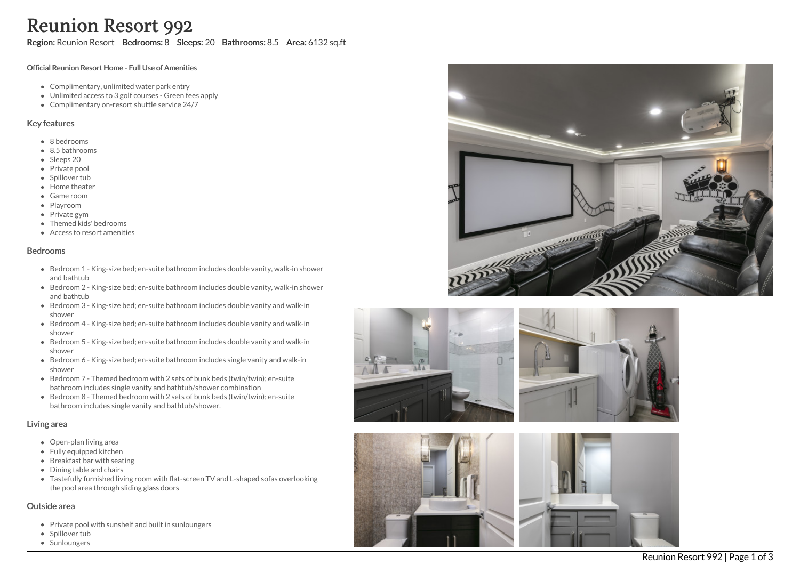Region: Reunion Resort Bedrooms: 8 Sleeps: 20 Bathrooms: 8.5 Area: 6132 sq.ft

#### Official Reunion Resort Home - Full Use of Amenities

- Complimentary, unlimited water park entry
- Unlimited access to 3 golf courses Green fees apply
- Complimentary on-resort shuttle service 24/7

### Key features

- 8 b e d r o o m s
- 8.5 bathrooms
- Sleeps 20
- Private pool
- Spillover tub
- Home theate r
- G a m e r o o m
- Playroom
- Private gym
- T h e m e d kid s' b e d r o o m s
- Access to resort amenities

#### **Bedrooms**

- Bedroom 1 King-size bed; en-suite bathroom includes double vanity, walk-in shower a n d b a t h t u b
- Bedroom 2 King-size bed; en-suite bathroom includes double vanity, walk-in shower and bathtub
- Bedroom 3 King-size bed; en-suite bathroom includes double vanity and walk-in s h o w e r
- Bedroom 4 King-size bed; en-suite bathroom includes double vanity and walk-in s h o w e r
- Bedroom 5 King-size bed; en-suite bathroom includes double vanity and walk-in s h o w e r
- Bedroom 6 King-size bed; en-suite bathroom includes single vanity and walk-in s h o w e r
- Bedroom 7 Themed bedroom with 2 sets of bunk beds (twin/twin); en-suite bathroom includes single vanity and bathtub/shower combination
- Bedroom 8 Themed bedroom with 2 sets of bunk beds (twin/twin); en-suite bathroom includes single vanity and bathtub/shower.

#### Living area

- Open-plan living area
- Fully equipped kitchen
- Breakfast bar with seating
- Dining table and chairs
- Tastefully furnished living room with flat-screen TV and L-shaped sofas overlooking the pool area through sliding glass doors

### Outside area

- Private pool with sunshelf and built in sunloungers
- Spillover tub
- **Sunloungers**





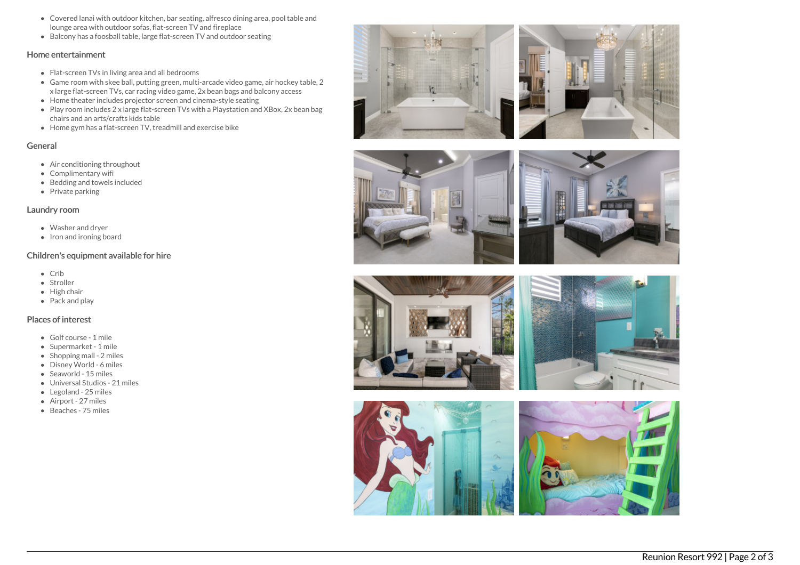- Covered lanai with outdoor kitchen, bar seating, alfresco dining area, pool table and lounge area with outdoor sofas, flat-screen TV and fireplace
- Balcony has a foosball table, large flat-screen TV and outdoor seating

### Home entertainment

- Flat-screen TVs in living area and all bedrooms
- Game room with skee ball, putting green, multi-arcade video game, air hockey table, 2 x large flat-screen TVs, car racing video game, 2x bean bags and balcony access
- Home theater includes projector screen and cinema-style seating
- Play room includes 2 x large flat-screen TVs with a Playstation and XBox, 2x bean bag chairs and an arts/crafts kids table
- Home gym has a flat-screen TV, treadmill and exercise bike

# General

- Air conditioning throughout
- Complimentary wifi
- Bedding and towels included
- Private parking

# Laundry room

- Washer and dryer
- Iron and ironing board

# Children's equipment available for hire

- $\bullet$  Crib
- Stroller
- High chair
- Pack and play

### Places of interest

- Golf course 1 mile
- Supermarket 1 mile
- $\bullet$  Shopping mall 2 miles
- Disney World 6 miles
- Seaworld 15 miles
- Universal Studios 21 miles
- Legoland 25 miles
- Airport 27 miles
- Beaches 75 miles